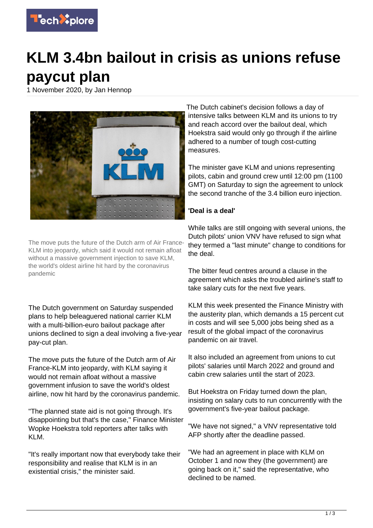

## **KLM 3.4bn bailout in crisis as unions refuse paycut plan**

1 November 2020, by Jan Hennop



The move puts the future of the Dutch arm of Air France-KLM into jeopardy, which said it would not remain afloat without a massive government injection to save KLM, the world's oldest airline hit hard by the coronavirus pandemic

The Dutch government on Saturday suspended plans to help beleaguered national carrier KLM with a multi-billion-euro bailout package after unions declined to sign a deal involving a five-year pay-cut plan.

The move puts the future of the Dutch arm of Air France-KLM into jeopardy, with KLM saying it would not remain afloat without a massive government infusion to save the world's oldest airline, now hit hard by the coronavirus pandemic.

"The planned state aid is not going through. It's disappointing but that's the case," Finance Minister Wopke Hoekstra told reporters after talks with KI M

"It's really important now that everybody take their responsibility and realise that KLM is in an existential crisis," the minister said.

The Dutch cabinet's decision follows a day of intensive talks between KLM and its unions to try and reach accord over the bailout deal, which Hoekstra said would only go through if the airline adhered to a number of tough cost-cutting measures.

The minister gave KLM and unions representing pilots, cabin and ground crew until 12:00 pm (1100 GMT) on Saturday to sign the agreement to unlock the second tranche of the 3.4 billion euro injection.

## **'Deal is a deal'**

While talks are still ongoing with several unions, the Dutch pilots' union VNV have refused to sign what they termed a "last minute" change to conditions for the deal.

The bitter feud centres around a clause in the agreement which asks the troubled airline's staff to take salary cuts for the next five years.

KLM this week presented the Finance Ministry with the austerity plan, which demands a 15 percent cut in costs and will see 5,000 jobs being shed as a result of the global impact of the coronavirus pandemic on air travel.

It also included an agreement from unions to cut pilots' salaries until March 2022 and ground and cabin crew salaries until the start of 2023.

But Hoekstra on Friday turned down the plan, insisting on salary cuts to run concurrently with the government's five-year bailout package.

"We have not signed," a VNV representative told AFP shortly after the deadline passed.

"We had an agreement in place with KLM on October 1 and now they (the government) are going back on it," said the representative, who declined to be named.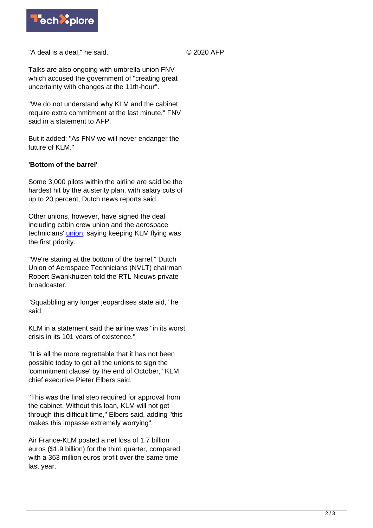

"A deal is a deal," he said.

© 2020 AFP

Talks are also ongoing with umbrella union FNV which accused the government of "creating great uncertainty with changes at the 11th-hour".

"We do not understand why KLM and the cabinet require extra commitment at the last minute," FNV said in a statement to AFP.

But it added: "As FNV we will never endanger the future of KLM."

## **'Bottom of the barrel'**

Some 3,000 pilots within the airline are said be the hardest hit by the austerity plan, with salary cuts of up to 20 percent, Dutch news reports said.

Other unions, however, have signed the deal including cabin crew union and the aerospace technicians' *[union](https://techxplore.com/tags/union/)*, saying keeping KLM flying was the first priority.

"We're staring at the bottom of the barrel," Dutch Union of Aerospace Technicians (NVLT) chairman Robert Swankhuizen told the RTL Nieuws private broadcaster.

"Squabbling any longer jeopardises state aid," he said.

KLM in a statement said the airline was "in its worst crisis in its 101 years of existence."

"It is all the more regrettable that it has not been possible today to get all the unions to sign the 'commitment clause' by the end of October," KLM chief executive Pieter Elbers said.

"This was the final step required for approval from the cabinet. Without this loan, KLM will not get through this difficult time," Elbers said, adding "this makes this impasse extremely worrying".

Air France-KLM posted a net loss of 1.7 billion euros (\$1.9 billion) for the third quarter, compared with a 363 million euros profit over the same time last year.